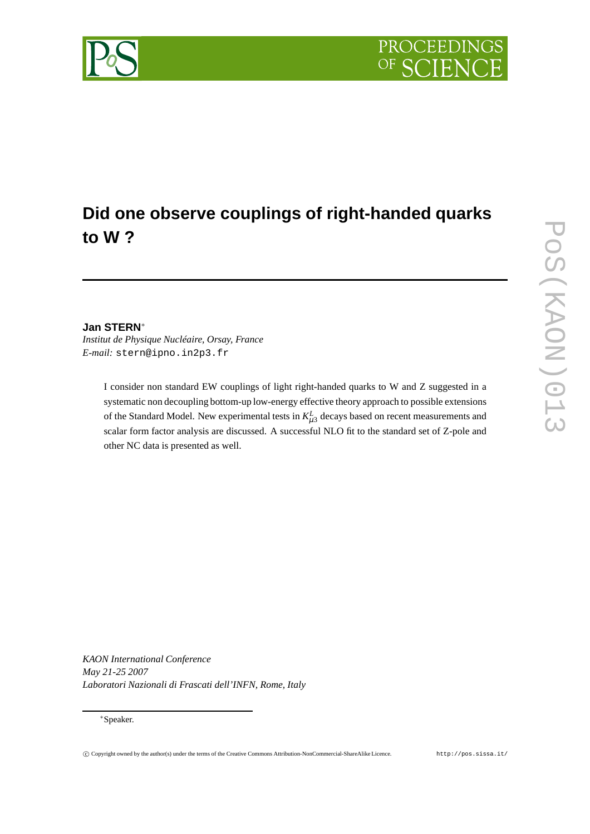

# **Did one observe couplings of right-handed quarks to W ?**

## **Jan STERN**∗

*Institut de Physique Nucléaire, Orsay, France E-mail:* stern@ipno.in2p3.fr

> I consider non standard EW couplings of light right-handed quarks to W and Z suggested in a systematic non decoupling bottom-up low-energy effective theory approach to possible extensions of the Standard Model. New experimental tests in  $K_{\mu3}^L$  decays based on recent measurements and scalar form factor analysis are discussed. A successful NLO fit to the standard set of Z-pole and other NC data is presented as well.

*KAON International Conference May 21-25 2007 Laboratori Nazionali di Frascati dell'INFN, Rome, Italy*

## ∗Speaker.

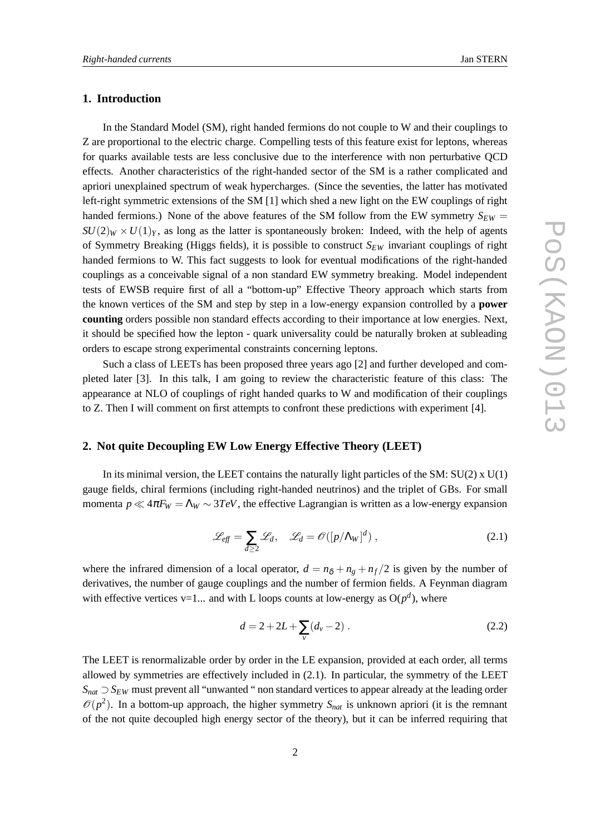## **1. Introduction**

In the Standard Model (SM), right handed fermions do not couple to W and their couplings to Z are proportional to the electric charge. Compelling tests of this feature exist for leptons, whereas for quarks available tests are less conclusive due to the interference with non perturbative QCD effects. Another characteristics of the right-handed sector of the SM is a rather complicated and apriori unexplained spectrum of weak hypercharges. (Since the seventies, the latter has motivated left-right symmetric extensions of the SM [1] which shed a new light on the EW couplings of right handed fermions.) None of the above features of the SM follow from the EW symmetry  $S_{EW}$  $SU(2)_W \times U(1)_Y$ , as long as the latter is spontaneously broken: Indeed, with the help of agents of Symmetry Breaking (Higgs fields), it is possible to construct *SEW* invariant couplings of right handed fermions to W. This fact suggests to look for eventual modifications of the right-handed couplings as a conceivable signal of a non standard EW symmetry breaking. Model independent tests of EWSB require first of all a "bottom-up" Effective Theory approach which starts from the known vertices of the SM and step by step in a low-energy expansion controlled by a **power counting** orders possible non standard effects according to their importance at low energies. Next, it should be specified how the lepton - quark universality could be naturally broken at subleading orders to escape strong experimental constraints concerning leptons.

Such a class of LEETs has been proposed three years ago [2] and further developed and completed later [3]. In this talk, I am going to review the characteristic feature of this class: The appearance at NLO of couplings of right handed quarks to W and modification of their couplings to Z. Then I will comment on first attempts to confront these predictions with experiment [4].

# **2. Not quite Decoupling EW Low Energy Effective Theory (LEET)**

In its minimal version, the LEET contains the naturally light particles of the SM:  $SU(2) \times U(1)$ gauge fields, chiral fermions (including right-handed neutrinos) and the triplet of GBs. For small momenta  $p \ll 4\pi F_W = \Lambda_W \sim 3TeV$ , the effective Lagrangian is written as a low-energy expansion

$$
\mathcal{L}_{eff} = \sum_{d \ge 2} \mathcal{L}_d, \quad \mathcal{L}_d = \mathcal{O}([p/\Lambda_W]^d) \,, \tag{2.1}
$$

where the infrared dimension of a local operator,  $d = n_{\delta} + n_{\rho} + n_{f}/2$  is given by the number of derivatives, the number of gauge couplings and the number of fermion fields. A Feynman diagram with effective vertices  $v=1...$  and with L loops counts at low-energy as  $O(p^d)$ , where

$$
d = 2 + 2L + \sum_{v} (d_v - 2) \tag{2.2}
$$

The LEET is renormalizable order by order in the LE expansion, provided at each order, all terms allowed by symmetries are effectively included in (2.1). In particular, the symmetry of the LEET *S<sub>nat</sub>* ⊃ *S<sub>EW</sub>* must prevent all "unwanted " non standard vertices to appear already at the leading order  $\mathcal{O}(p^2)$ . In a bottom-up approach, the higher symmetry  $S_{nat}$  is unknown apriori (it is the remnant of the not quite decoupled high energy sector of the theory), but it can be inferred requiring that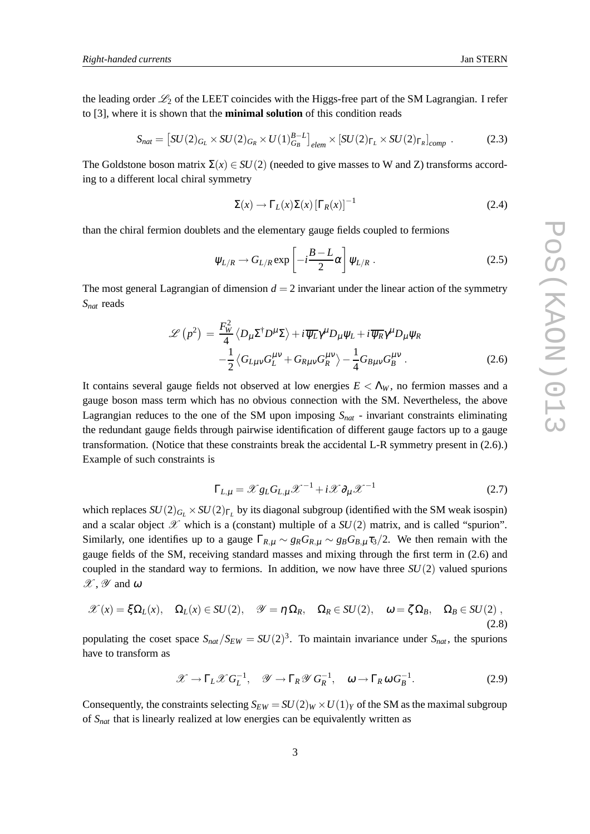the leading order  $\mathcal{L}_2$  of the LEET coincides with the Higgs-free part of the SM Lagrangian. I refer to [3], where it is shown that the **minimal solution** of this condition reads

$$
S_{nat} = \left[ SU(2)_{G_L} \times SU(2)_{G_R} \times U(1)_{G_B}^{B-L} \right]_{elem} \times \left[ SU(2)_{\Gamma_L} \times SU(2)_{\Gamma_R} \right]_{comp} \,. \tag{2.3}
$$

The Goldstone boson matrix  $\Sigma(x) \in SU(2)$  (needed to give masses to W and Z) transforms according to a different local chiral symmetry

$$
\Sigma(x) \to \Gamma_L(x)\Sigma(x)\left[\Gamma_R(x)\right]^{-1} \tag{2.4}
$$

than the chiral fermion doublets and the elementary gauge fields coupled to fermions

$$
\psi_{L/R} \to G_{L/R} \exp\left[-i\frac{B-L}{2}\alpha\right] \psi_{L/R} \,. \tag{2.5}
$$

The most general Lagrangian of dimension  $d = 2$  invariant under the linear action of the symmetry *Snat* reads

$$
\mathcal{L}\left(p^{2}\right) = \frac{F_{W}^{2}}{4} \left\langle D_{\mu} \Sigma^{\dagger} D^{\mu} \Sigma \right\rangle + i \overline{\psi_{L}} \gamma^{\mu} D_{\mu} \psi_{L} + i \overline{\psi_{R}} \gamma^{\mu} D_{\mu} \psi_{R}
$$

$$
-\frac{1}{2} \left\langle G_{L\mu\nu} G_{L}^{\mu\nu} + G_{R\mu\nu} G_{R}^{\mu\nu} \right\rangle - \frac{1}{4} G_{B\mu\nu} G_{B}^{\mu\nu} . \tag{2.6}
$$

It contains several gauge fields not observed at low energies  $E < \Lambda_W$ , no fermion masses and a gauge boson mass term which has no obvious connection with the SM. Nevertheless, the above Lagrangian reduces to the one of the SM upon imposing *Snat* - invariant constraints eliminating the redundant gauge fields through pairwise identification of different gauge factors up to a gauge transformation. (Notice that these constraints break the accidental L-R symmetry present in (2.6).) Example of such constraints is

$$
\Gamma_{L,\mu} = \mathcal{X} g_L G_{L,\mu} \mathcal{X}^{-1} + i \mathcal{X} \partial_\mu \mathcal{X}^{-1}
$$
 (2.7)

which replaces  $SU(2)_{G_L} \times SU(2)_{\Gamma_L}$  by its diagonal subgroup (identified with the SM weak isospin) and a scalar object  $\mathscr X$  which is a (constant) multiple of a  $SU(2)$  matrix, and is called "spurion". Similarly, one identifies up to a gauge  $\Gamma_{R,\mu} \sim g_R G_{R,\mu} \sim g_B G_{B,\mu} \tau_3/2$ . We then remain with the gauge fields of the SM, receiving standard masses and mixing through the first term in (2.6) and coupled in the standard way to fermions. In addition, we now have three  $SU(2)$  valued spurions  $\mathscr{X}, \mathscr{Y}$  and  $\omega$ 

$$
\mathscr{X}(x) = \xi \Omega_L(x), \quad \Omega_L(x) \in SU(2), \quad \mathscr{Y} = \eta \Omega_R, \quad \Omega_R \in SU(2), \quad \omega = \zeta \Omega_B, \quad \Omega_B \in SU(2)
$$
\n
$$
(2.8)
$$

populating the coset space  $S_{nat}/S_{EW} = SU(2)^3$ . To maintain invariance under  $S_{nat}$ , the spurions have to transform as

$$
\mathscr{X} \to \Gamma_L \mathscr{X} G_L^{-1}, \quad \mathscr{Y} \to \Gamma_R \mathscr{Y} G_R^{-1}, \quad \omega \to \Gamma_R \omega G_B^{-1}.
$$
 (2.9)

Consequently, the constraints selecting  $S_{EW} = SU(2)_W \times U(1)_Y$  of the SM as the maximal subgroup of *Snat* that is linearly realized at low energies can be equivalently written as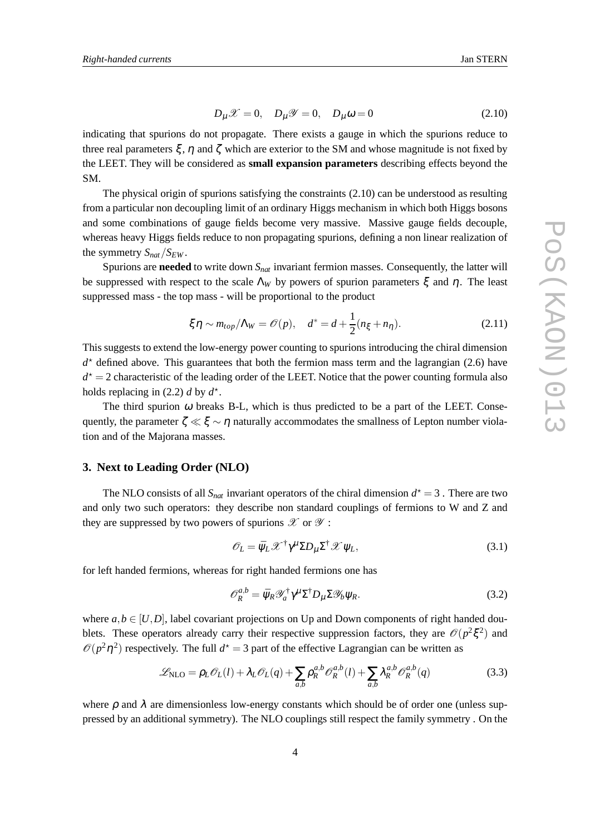$$
D_{\mu}\mathscr{X}=0, \quad D_{\mu}\mathscr{Y}=0, \quad D_{\mu}\omega=0 \tag{2.10}
$$

indicating that spurions do not propagate. There exists a gauge in which the spurions reduce to three real parameters  $\xi$ ,  $\eta$  and  $\zeta$  which are exterior to the SM and whose magnitude is not fixed by the LEET. They will be considered as **small expansion parameters** describing effects beyond the SM.

The physical origin of spurions satisfying the constraints (2.10) can be understood as resulting from a particular non decoupling limit of an ordinary Higgs mechanism in which both Higgs bosons and some combinations of gauge fields become very massive. Massive gauge fields decouple, whereas heavy Higgs fields reduce to non propagating spurions, defining a non linear realization of the symmetry  $S_{nat}/S_{EW}$ .

Spurions are **needed** to write down *Snat* invariant fermion masses. Consequently, the latter will be suppressed with respect to the scale  $\Lambda_W$  by powers of spurion parameters  $\xi$  and  $\eta$ . The least suppressed mass - the top mass - will be proportional to the product

$$
\xi \eta \sim m_{top}/\Lambda_W = \mathcal{O}(p), \quad d^* = d + \frac{1}{2}(n_{\xi} + n_{\eta}). \tag{2.11}
$$

This suggests to extend the low-energy power counting to spurions introducing the chiral dimension  $d^*$  defined above. This guarantees that both the fermion mass term and the lagrangian (2.6) have  $d^* = 2$  characteristic of the leading order of the LEET. Notice that the power counting formula also holds replacing in  $(2.2)$  *d* by  $d^*$ .

The third spurion  $\omega$  breaks B-L, which is thus predicted to be a part of the LEET. Consequently, the parameter  $\zeta \ll \xi \sim \eta$  naturally accommodates the smallness of Lepton number violation and of the Majorana masses.

#### **3. Next to Leading Order (NLO)**

The NLO consists of all  $S_{nat}$  invariant operators of the chiral dimension  $d^* = 3$ . There are two and only two such operators: they describe non standard couplings of fermions to W and Z and they are suppressed by two powers of spurions  $\mathscr X$  or  $\mathscr Y$ :

$$
\mathscr{O}_L = \bar{\psi}_L \mathscr{X}^\dagger \gamma^\mu \Sigma D_\mu \Sigma^\dagger \mathscr{X} \psi_L,\tag{3.1}
$$

for left handed fermions, whereas for right handed fermions one has

$$
\mathcal{O}_R^{a,b} = \bar{\psi}_R \mathcal{V}_a^{\dagger} \gamma^{\mu} \Sigma^{\dagger} D_{\mu} \Sigma \mathcal{Y}_b \psi_R.
$$
 (3.2)

where  $a, b \in [U, D]$ , label covariant projections on Up and Down components of right handed doublets. These operators already carry their respective suppression factors, they are  $\mathcal{O}(p^2 \xi^2)$  and  $\mathcal{O}(p^2\eta^2)$  respectively. The full  $d^* = 3$  part of the effective Lagrangian can be written as

$$
\mathcal{L}_{\text{NLO}} = \rho_L \mathcal{O}_L(l) + \lambda_L \mathcal{O}_L(q) + \sum_{a,b} \rho_R^{a,b} \mathcal{O}_R^{a,b}(l) + \sum_{a,b} \lambda_R^{a,b} \mathcal{O}_R^{a,b}(q) \tag{3.3}
$$

where  $\rho$  and  $\lambda$  are dimensionless low-energy constants which should be of order one (unless suppressed by an additional symmetry). The NLO couplings still respect the family symmetry . On the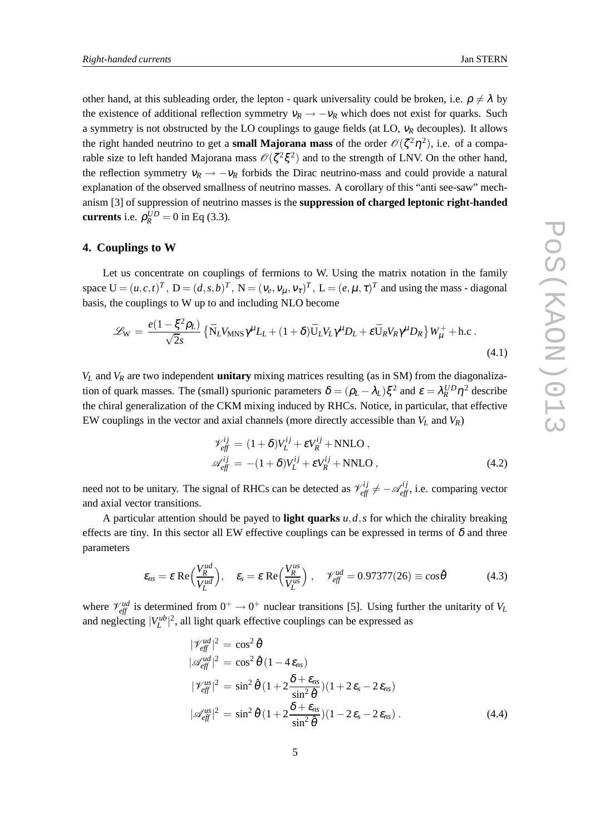other hand, at this subleading order, the lepton - quark universality could be broken, i.e.  $\rho \neq \lambda$  by the existence of additional reflection symmetry  $v_R \rightarrow -v_R$  which does not exist for quarks. Such a symmetry is not obstructed by the LO couplings to gauge fields (at LO, <sup>ν</sup>*<sup>R</sup>* decouples). It allows the right handed neutrino to get a **small Majorana mass** of the order  $\mathcal{O}(\zeta^2 \eta^2)$ , i.e. of a comparable size to left handed Majorana mass  $\mathcal{O}(\zeta^2 \xi^2)$  and to the strength of LNV. On the other hand, the reflection symmetry  $v_R \rightarrow -v_R$  forbids the Dirac neutrino-mass and could provide a natural explanation of the observed smallness of neutrino masses. A corollary of this "anti see-saw" mechanism [3] of suppression of neutrino masses is the **suppression of charged leptonic right-handed currents** i.e.  $\rho_R^{UD} = 0$  in Eq (3.3).

#### **4. Couplings to W**

Let us concentrate on couplings of fermions to W. Using the matrix notation in the family space  $U = (u, c, t)^T$ ,  $D = (d, s, b)^T$ ,  $N = (v_e, v_\mu, v_\tau)^T$ ,  $L = (e, \mu, \tau)^T$  and using the mass - diagonal basis, the couplings to W up to and including NLO become

$$
\mathcal{L}_{\rm W} = \frac{e(1 - \xi^2 \rho_L)}{\sqrt{2}s} \left\{ \bar{N}_L V_{\rm MNS} \gamma^\mu L_L + (1 + \delta) \bar{U}_L V_L \gamma^\mu D_L + \varepsilon \bar{U}_R V_R \gamma^\mu D_R \right\} W_\mu^+ + \text{h.c.}
$$
\n(4.1)

 $V_L$  and  $V_R$  are two independent **unitary** mixing matrices resulting (as in SM) from the diagonalization of quark masses. The (small) spurionic parameters  $\delta = (\rho_L - \lambda_L) \xi^2$  and  $\varepsilon = \lambda_R^{UD} \eta^2$  describe the chiral generalization of the CKM mixing induced by RHCs. Notice, in particular, that effective EW couplings in the vector and axial channels (more directly accessible than *V<sup>L</sup>* and *VR*)

$$
\mathcal{V}_{\text{eff}}^{ij} = (1 + \delta)V_L^{ij} + \varepsilon V_R^{ij} + \text{NNLO} ,
$$
  
\n
$$
\mathcal{A}_{\text{eff}}^{ij} = -(1 + \delta)V_L^{ij} + \varepsilon V_R^{ij} + \text{NNLO} ,
$$
\n(4.2)

need not to be unitary. The signal of RHCs can be detected as  $\mathcal{V}_{eff}^{ij} \neq -\mathcal{A}_{eff}^{ij}$ , i.e. comparing vector and axial vector transitions.

A particular attention should be payed to **light quarks**  $u, d, s$  for which the chirality breaking effects are tiny. In this sector all EW effective couplings can be expressed in terms of  $\delta$  and three parameters

$$
\varepsilon_{ns} = \varepsilon \operatorname{Re}\left(\frac{V_R^{ud}}{V_L^{ud}}\right), \quad \varepsilon_s = \varepsilon \operatorname{Re}\left(\frac{V_R^{us}}{V_L^{us}}\right), \quad \mathscr{V}_{\text{eff}}^{ud} = 0.97377(26) \equiv \cos\hat{\theta} \tag{4.3}
$$

where  $\mathcal{V}_{eff}^{ud}$  is determined from  $0^+ \rightarrow 0^+$  nuclear transitions [5]. Using further the unitarity of  $V_L$ and neglecting  $|V_L^{ub}|^2$ , all light quark effective couplings can be expressed as

$$
|\mathcal{V}_{eff}^{ud}|^2 = \cos^2 \hat{\theta}
$$
  
\n
$$
|\mathcal{A}_{eff}^{ud}|^2 = \cos^2 \hat{\theta} (1 - 4 \epsilon_{ns})
$$
  
\n
$$
|\mathcal{V}_{eff}^{us}|^2 = \sin^2 \hat{\theta} (1 + 2 \frac{\delta + \epsilon_{ns}}{\sin^2 \hat{\theta}})(1 + 2 \epsilon_s - 2 \epsilon_{ns})
$$
  
\n
$$
|\mathcal{A}_{eff}^{us}|^2 = \sin^2 \hat{\theta} (1 + 2 \frac{\delta + \epsilon_{ns}}{\sin^2 \hat{\theta}})(1 - 2 \epsilon_s - 2 \epsilon_{ns}).
$$
\n(4.4)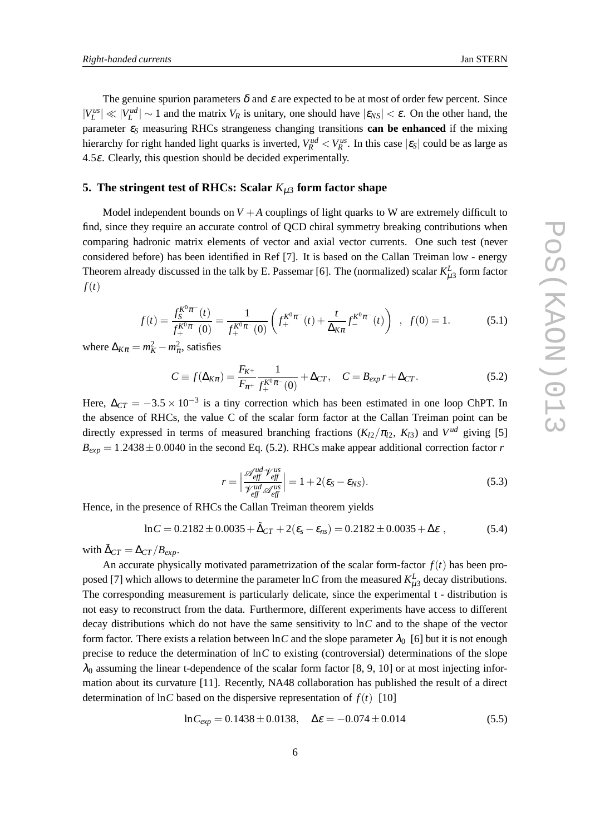The genuine spurion parameters  $\delta$  and  $\varepsilon$  are expected to be at most of order few percent. Since  $|V_L^{us}| \ll |V_L^{ud}| \sim 1$  and the matrix  $V_R$  is unitary, one should have  $|\varepsilon_{NS}| < \varepsilon$ . On the other hand, the parameter <sup>ε</sup>*<sup>S</sup>* measuring RHCs strangeness changing transitions **can be enhanced** if the mixing hierarchy for right handed light quarks is inverted,  $V_R^{ud} < V_R^{us}$ . In this case  $|\varepsilon_S|$  could be as large as 4.5ε. Clearly, this question should be decided experimentally.

#### **5. The stringent test of RHCs: Scalar**  $K_{\mu 3}$  form factor shape

Model independent bounds on  $V + A$  couplings of light quarks to W are extremely difficult to find, since they require an accurate control of QCD chiral symmetry breaking contributions when comparing hadronic matrix elements of vector and axial vector currents. One such test (never considered before) has been identified in Ref [7]. It is based on the Callan Treiman low - energy Theorem already discussed in the talk by E. Passemar [6]. The (normalized) scalar  $K_{\mu 3}^L$  form factor *f*(*t*)

$$
f(t) = \frac{f_S^{K^0 \pi^-}(t)}{f_+^{K^0 \pi^-}(0)} = \frac{1}{f_+^{K^0 \pi^-}(0)} \left( f_+^{K^0 \pi^-}(t) + \frac{t}{\Delta_{K\pi}} f_-^{K^0 \pi^-}(t) \right) , \quad f(0) = 1.
$$
 (5.1)

where  $\Delta_{K\pi} = m_K^2 - m_\pi^2$ , satisfies

$$
C \equiv f(\Delta_{K\pi}) = \frac{F_{K^+}}{F_{\pi^+}} \frac{1}{f_+^{K^0 \pi^-}(0)} + \Delta_{CT}, \quad C = B_{exp} r + \Delta_{CT}.
$$
 (5.2)

Here,  $\Delta_{CT} = -3.5 \times 10^{-3}$  is a tiny correction which has been estimated in one loop ChPT. In the absence of RHCs, the value C of the scalar form factor at the Callan Treiman point can be directly expressed in terms of measured branching fractions  $(K_{12}/\pi_{12}, K_{13})$  and  $V^{ud}$  giving [5]  $B_{exp} = 1.2438 \pm 0.0040$  in the second Eq. (5.2). RHCs make appear additional correction factor *r* 

$$
r = \left| \frac{\mathcal{A}_{\text{eff}}^{\text{ud}} \mathcal{V}_{\text{eff}}^{\text{us}}}{\mathcal{V}_{\text{eff}}^{\text{ud}} \mathcal{A}_{\text{eff}}^{\text{us}}} \right| = 1 + 2(\varepsilon_S - \varepsilon_{NS}). \tag{5.3}
$$

Hence, in the presence of RHCs the Callan Treiman theorem yields

$$
\ln C = 0.2182 \pm 0.0035 + \tilde{\Delta}_{CT} + 2(\varepsilon_s - \varepsilon_{ns}) = 0.2182 \pm 0.0035 + \Delta \varepsilon , \qquad (5.4)
$$

with  $\tilde{\Delta}_{CT} = \Delta_{CT}/B_{exp}$ .

An accurate physically motivated parametrization of the scalar form-factor  $f(t)$  has been proposed [7] which allows to determine the parameter  $\ln C$  from the measured  $K_{\mu}^L$  decay distributions. The corresponding measurement is particularly delicate, since the experimental t - distribution is not easy to reconstruct from the data. Furthermore, different experiments have access to different decay distributions which do not have the same sensitivity to ln*C* and to the shape of the vector form factor. There exists a relation between  $\ln C$  and the slope parameter  $\lambda_0$  [6] but it is not enough precise to reduce the determination of ln*C* to existing (controversial) determinations of the slope  $\lambda_0$  assuming the linear t-dependence of the scalar form factor [8, 9, 10] or at most injecting information about its curvature [11]. Recently, NA48 collaboration has published the result of a direct determination of  $\ln C$  based on the dispersive representation of  $f(t)$  [10]

$$
\ln C_{exp} = 0.1438 \pm 0.0138, \quad \Delta \varepsilon = -0.074 \pm 0.014 \tag{5.5}
$$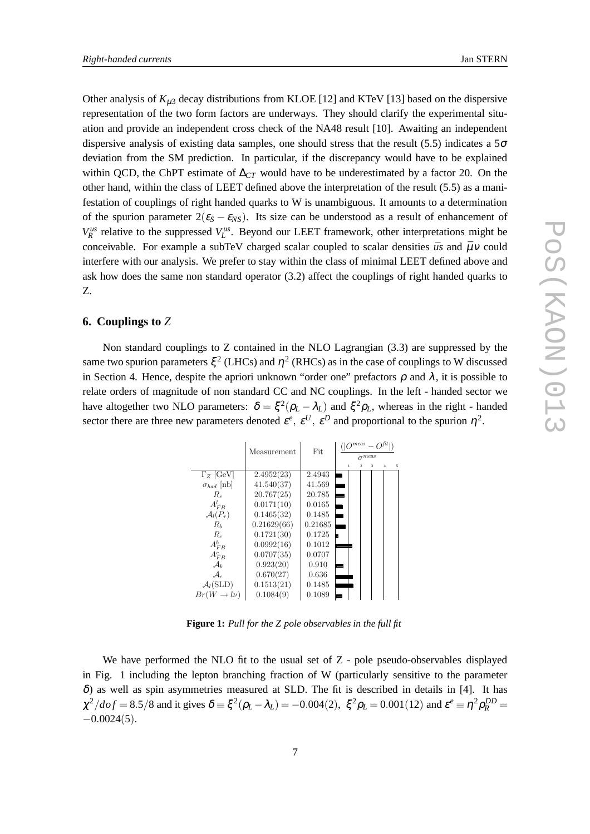Other analysis of  $K_{\mu 3}$  decay distributions from KLOE [12] and KTeV [13] based on the dispersive representation of the two form factors are underways. They should clarify the experimental situation and provide an independent cross check of the NA48 result [10]. Awaiting an independent dispersive analysis of existing data samples, one should stress that the result (5.5) indicates a  $5\sigma$ deviation from the SM prediction. In particular, if the discrepancy would have to be explained within QCD, the ChPT estimate of ∆*CT* would have to be underestimated by a factor 20. On the other hand, within the class of LEET defined above the interpretation of the result (5.5) as a manifestation of couplings of right handed quarks to W is unambiguous. It amounts to a determination of the spurion parameter  $2(\epsilon_s - \epsilon_{NS})$ . Its size can be understood as a result of enhancement of  $V_R^{us}$  relative to the suppressed  $V_L^{us}$ . Beyond our LEET framework, other interpretations might be conceivable. For example a subTeV charged scalar coupled to scalar densities  $\bar{u}s$  and  $\bar{\mu}v$  could interfere with our analysis. We prefer to stay within the class of minimal LEET defined above and ask how does the same non standard operator (3.2) affect the couplings of right handed quarks to Z.

#### **6. Couplings to** *Z*

Non standard couplings to Z contained in the NLO Lagrangian (3.3) are suppressed by the same two spurion parameters  $\xi^2$  (LHCs) and  $\eta^2$  (RHCs) as in the case of couplings to W discussed in Section 4. Hence, despite the apriori unknown "order one" prefactors  $\rho$  and  $\lambda$ , it is possible to relate orders of magnitude of non standard CC and NC couplings. In the left - handed sector we have altogether two NLO parameters:  $\delta = \xi^2(\rho_L - \lambda_L)$  and  $\xi^2 \rho_L$ , whereas in the right - handed sector there are three new parameters denoted  $\varepsilon^e$ ,  $\varepsilon^U$ ,  $\varepsilon^D$  and proportional to the spurion  $\eta^2$ .

|                         | Measurement | Fit     | $\cap$ meas $\equiv$<br>$\sigma$ <sup>meas</sup>        |
|-------------------------|-------------|---------|---------------------------------------------------------|
|                         |             |         | $\overline{4}$<br>5<br>$\mathcal{D}_{\mathcal{A}}$<br>3 |
| $\Gamma_Z$ [GeV]        | 2.4952(23)  | 2.4943  |                                                         |
| $\sigma_{had}$ [nb]     | 41.540(37)  | 41.569  |                                                         |
| $R_{\rm e}$             | 20.767(25)  | 20.785  |                                                         |
| $A_{FB}^l$              | 0.0171(10)  | 0.0165  |                                                         |
| $\mathcal{A}_l(P_\tau)$ | 0.1465(32)  | 0.1485  |                                                         |
| $R_h$                   | 0.21629(66) | 0.21685 |                                                         |
| $R_{c}$                 | 0.1721(30)  | 0.1725  |                                                         |
| $A_{FB}^b$              | 0.0992(16)  | 0.1012  |                                                         |
| $A_{FR}^c$              | 0.0707(35)  | 0.0707  |                                                         |
| $\mathcal{A}_h$         | 0.923(20)   | 0.910   |                                                         |
| $\mathcal{A}_{c}$       | 0.670(27)   | 0.636   |                                                         |
| $\mathcal{A}_l(SLD)$    | 0.1513(21)  | 0.1485  |                                                         |
| $Br(W \to l\nu)$        | 0.1084(9)   | 0.1089  |                                                         |

**Figure 1:** *Pull for the Z pole observables in the full fit*

We have performed the NLO fit to the usual set of Z - pole pseudo-observables displayed in Fig. 1 including the lepton branching fraction of W (particularly sensitive to the parameter  $\delta$ ) as well as spin asymmetries measured at SLD. The fit is described in details in [4]. It has  $\chi^2/dof = 8.5/8$  and it gives  $\delta = \xi^2(\rho_L - \lambda_L) = -0.004(2)$ ,  $\xi^2 \rho_L = 0.001(12)$  and  $\varepsilon^e \equiv \eta^2 \rho_R^{DD} =$  $-0.0024(5)$ .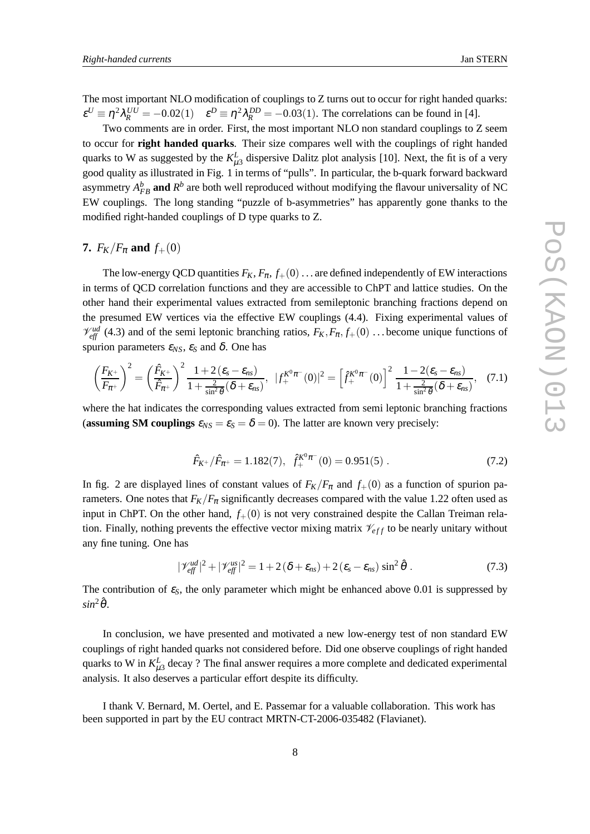The most important NLO modification of couplings to Z turns out to occur for right handed quarks:  $\varepsilon^U \equiv \eta^2 \lambda_R^{UU} = -0.02(1)$   $\varepsilon^D \equiv \eta^2 \lambda_R^{DD} = -0.03(1)$ . The correlations can be found in [4].

Two comments are in order. First, the most important NLO non standard couplings to Z seem to occur for **right handed quarks**. Their size compares well with the couplings of right handed quarks to W as suggested by the  $K_{\mu3}^L$  dispersive Dalitz plot analysis [10]. Next, the fit is of a very good quality as illustrated in Fig. 1 in terms of "pulls". In particular, the b-quark forward backward asymmetry  $A_{FB}^b$  and  $R^b$  are both well reproduced without modifying the flavour universality of NC EW couplings. The long standing "puzzle of b-asymmetries" has apparently gone thanks to the modified right-handed couplings of D type quarks to Z.

## **7.**  $F_K/F_{\pi}$  and  $f_+(0)$

The low-energy QCD quantities  $F_K$ ,  $F_\pi$ ,  $f_+(0)$ ... are defined independently of EW interactions in terms of QCD correlation functions and they are accessible to ChPT and lattice studies. On the other hand their experimental values extracted from semileptonic branching fractions depend on the presumed EW vertices via the effective EW couplings (4.4). Fixing experimental values of  $V_{\text{eff}}^{ud}$  (4.3) and of the semi leptonic branching ratios,  $F_K, F_\pi, f_+(0)$  ... become unique functions of spurion parameters <sup>ε</sup>*NS*, <sup>ε</sup>*<sup>S</sup>* and <sup>δ</sup>. One has

$$
\left(\frac{F_{K^+}}{F_{\pi^+}}\right)^2 = \left(\frac{\hat{F}_{K^+}}{\hat{F}_{\pi^+}}\right)^2 \frac{1 + 2\left(\varepsilon_s - \varepsilon_{ns}\right)}{1 + \frac{2}{\sin^2\theta}(\delta + \varepsilon_{ns})}, \ |f_+^{K^0\pi^-}(0)|^2 = \left[\hat{f}_+^{K^0\pi^-}(0)\right]^2 \frac{1 - 2(\varepsilon_s - \varepsilon_{ns})}{1 + \frac{2}{\sin^2\theta}(\delta + \varepsilon_{ns})}, \ (7.1)
$$

where the hat indicates the corresponding values extracted from semi leptonic branching fractions (**assuming SM couplings**  $\varepsilon_{NS} = \varepsilon_S = \delta = 0$ ). The latter are known very precisely:

$$
\hat{F}_{K^+}/\hat{F}_{\pi^+} = 1.182(7), \ \hat{f}_+^{K^0 \pi^-}(0) = 0.951(5) \ . \tag{7.2}
$$

In fig. 2 are displayed lines of constant values of  $F_K/F_{\pi}$  and  $f_+(0)$  as a function of spurion parameters. One notes that  $F_K/F_\pi$  significantly decreases compared with the value 1.22 often used as input in ChPT. On the other hand,  $f_+(0)$  is not very constrained despite the Callan Treiman relation. Finally, nothing prevents the effective vector mixing matrix  $\mathcal{V}_{eff}$  to be nearly unitary without any fine tuning. One has

$$
|\mathscr{V}_{\text{eff}}^{\text{ud}}|^2 + |\mathscr{V}_{\text{eff}}^{\text{us}}|^2 = 1 + 2(\delta + \varepsilon_{\text{ns}}) + 2(\varepsilon_{\text{s}} - \varepsilon_{\text{ns}}) \sin^2 \hat{\theta} \ . \tag{7.3}
$$

The contribution of  $\varepsilon_{S}$ , the only parameter which might be enhanced above 0.01 is suppressed by  $sin^2\hat{\theta}$ .

In conclusion, we have presented and motivated a new low-energy test of non standard EW couplings of right handed quarks not considered before. Did one observe couplings of right handed quarks to W in  $K_{\mu 3}^L$  decay ? The final answer requires a more complete and dedicated experimental analysis. It also deserves a particular effort despite its difficulty.

I thank V. Bernard, M. Oertel, and E. Passemar for a valuable collaboration. This work has been supported in part by the EU contract MRTN-CT-2006-035482 (Flavianet).